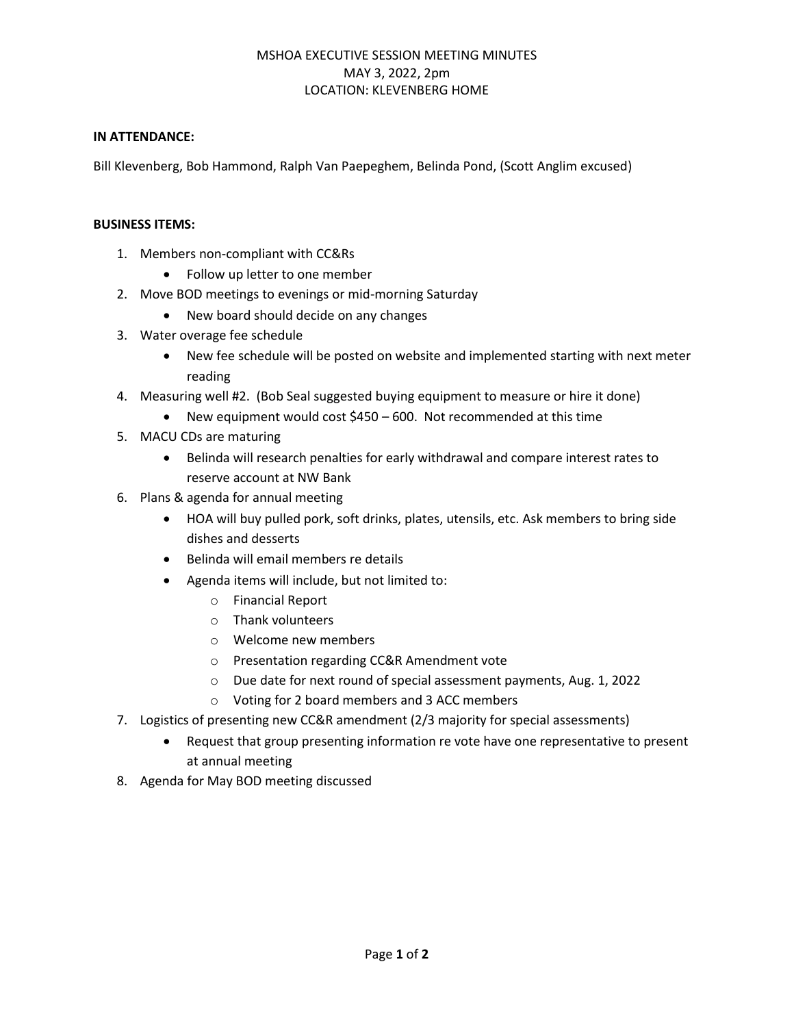## MSHOA EXECUTIVE SESSION MEETING MINUTES MAY 3, 2022, 2pm LOCATION: KLEVENBERG HOME

## **IN ATTENDANCE:**

Bill Klevenberg, Bob Hammond, Ralph Van Paepeghem, Belinda Pond, (Scott Anglim excused)

## **BUSINESS ITEMS:**

- 1. Members non-compliant with CC&Rs
	- Follow up letter to one member
- 2. Move BOD meetings to evenings or mid-morning Saturday
	- New board should decide on any changes
- 3. Water overage fee schedule
	- New fee schedule will be posted on website and implemented starting with next meter reading
- 4. Measuring well #2. (Bob Seal suggested buying equipment to measure or hire it done)
	- New equipment would cost \$450 600. Not recommended at this time
- 5. MACU CDs are maturing
	- Belinda will research penalties for early withdrawal and compare interest rates to reserve account at NW Bank
- 6. Plans & agenda for annual meeting
	- HOA will buy pulled pork, soft drinks, plates, utensils, etc. Ask members to bring side dishes and desserts
	- Belinda will email members re details
	- Agenda items will include, but not limited to:
		- o Financial Report
		- o Thank volunteers
		- o Welcome new members
		- o Presentation regarding CC&R Amendment vote
		- o Due date for next round of special assessment payments, Aug. 1, 2022
		- o Voting for 2 board members and 3 ACC members
- 7. Logistics of presenting new CC&R amendment (2/3 majority for special assessments)
	- Request that group presenting information re vote have one representative to present at annual meeting
- 8. Agenda for May BOD meeting discussed